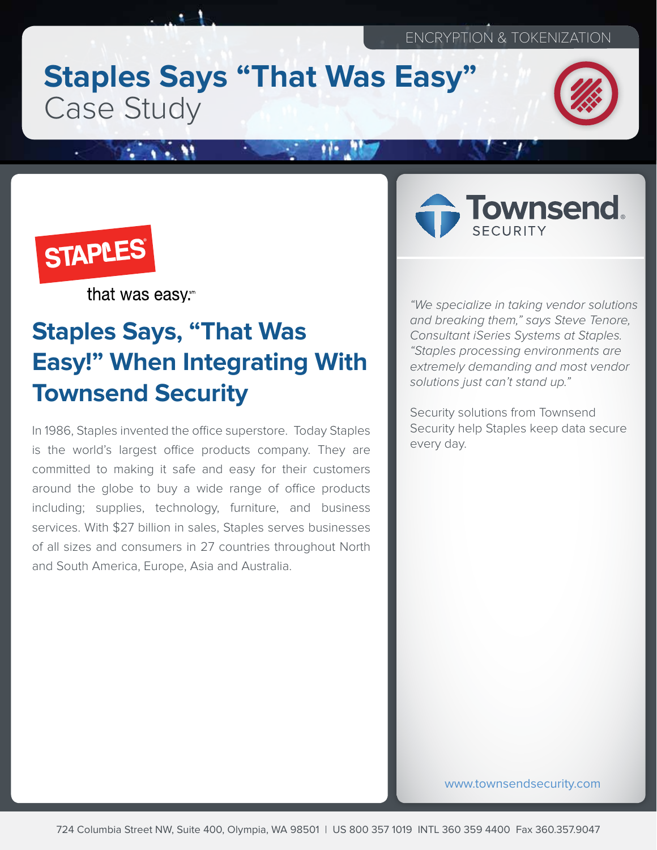# **Staples Says "That Was Easy"** Case Study





that was easy.

## **Staples Says, "That Was Easy!" When Integrating With Townsend Security**

In 1986, Staples invented the office superstore. Today Staples is the world's largest office products company. They are committed to making it safe and easy for their customers around the globe to buy a wide range of office products including; supplies, technology, furniture, and business services. With \$27 billion in sales, Staples serves businesses of all sizes and consumers in 27 countries throughout North and South America, Europe, Asia and Australia.



"We specialize in taking vendor solutions and breaking them," says Steve Tenore, Consultant iSeries Systems at Staples. "Staples processing environments are extremely demanding and most vendor solutions just can't stand up."

Security solutions from Townsend Security help Staples keep data secure every day.

www.townsendsecurity.com